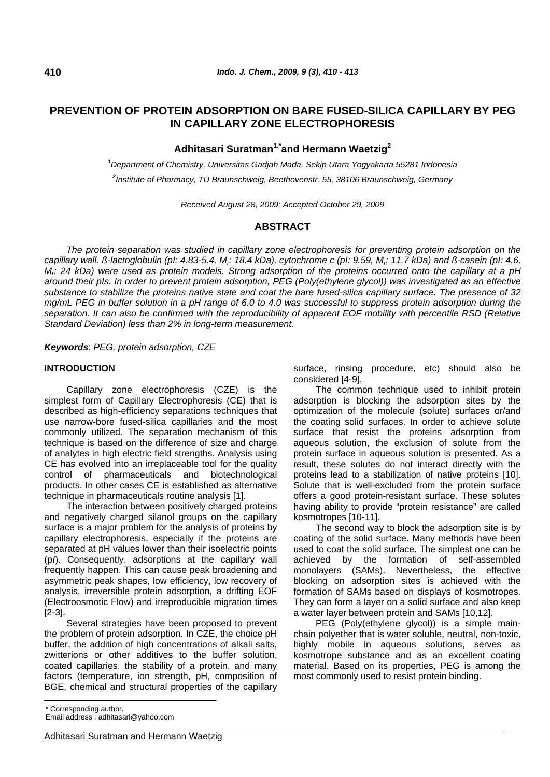# **PREVENTION OF PROTEIN ADSORPTION ON BARE FUSED-SILICA CAPILLARY BY PEG IN CAPILLARY ZONE ELECTROPHORESIS**

## **Adhitasari Suratman1.\*and Hermann Waetzig2**

*1 Department of Chemistry, Universitas Gadjah Mada, Sekip Utara Yogyakarta 55281 Indonesia 2 Institute of Pharmacy, TU Braunschweig, Beethovenstr. 55, 38106 Braunschweig, Germany* 

*Received August 28, 2009; Accepted October 29, 2009* 

## **ABSTRACT**

*The protein separation was studied in capillary zone electrophoresis for preventing protein adsorption on the capillary wall. ß-lactoglobulin (pI: 4.83-5.4, Mr: 18.4 kDa), cytochrome c (pI: 9.59, Mr: 11.7 kDa) and ß-casein (pI: 4.6, Mr: 24 kDa) were used as protein models. Strong adsorption of the proteins occurred onto the capillary at a pH around their pIs. In order to prevent protein adsorption, PEG (Poly(ethylene glycol)) was investigated as an effective substance to stabilize the proteins native state and coat the bare fused-silica capillary surface. The presence of 32 mg/mL PEG in buffer solution in a pH range of 6.0 to 4.0 was successful to suppress protein adsorption during the separation. It can also be confirmed with the reproducibility of apparent EOF mobility with percentile RSD (Relative Standard Deviation) less than 2% in long-term measurement.* 

*Keywords*: *PEG, protein adsorption, CZE*

### **INTRODUCTION**

Capillary zone electrophoresis (CZE) is the simplest form of Capillary Electrophoresis (CE) that is described as high-efficiency separations techniques that use narrow-bore fused-silica capillaries and the most commonly utilized. The separation mechanism of this technique is based on the difference of size and charge of analytes in high electric field strengths. Analysis using CE has evolved into an irreplaceable tool for the quality control of pharmaceuticals and biotechnological products. In other cases CE is established as alternative technique in pharmaceuticals routine analysis [1].

The interaction between positively charged proteins and negatively charged silanol groups on the capillary surface is a major problem for the analysis of proteins by capillary electrophoresis, especially if the proteins are separated at pH values lower than their isoelectric points (p*I*). Consequently, adsorptions at the capillary wall frequently happen. This can cause peak broadening and asymmetric peak shapes, low efficiency, low recovery of analysis, irreversible protein adsorption, a drifting EOF (Electroosmotic Flow) and irreproducible migration times [2-3].

Several strategies have been proposed to prevent the problem of protein adsorption. In CZE, the choice pH buffer, the addition of high concentrations of alkali salts, zwitterions or other additives to the buffer solution, coated capillaries, the stability of a protein, and many factors (temperature, ion strength, pH, composition of BGE, chemical and structural properties of the capillary

surface, rinsing procedure, etc) should also be considered [4-9].

The common technique used to inhibit protein adsorption is blocking the adsorption sites by the optimization of the molecule (solute) surfaces or/and the coating solid surfaces. In order to achieve solute surface that resist the proteins adsorption from aqueous solution, the exclusion of solute from the protein surface in aqueous solution is presented. As a result, these solutes do not interact directly with the proteins lead to a stabilization of native proteins [10]. Solute that is well-excluded from the protein surface offers a good protein-resistant surface. These solutes having ability to provide "protein resistance" are called kosmotropes [10-11].

The second way to block the adsorption site is by coating of the solid surface. Many methods have been used to coat the solid surface. The simplest one can be achieved by the formation of self-assembled monolayers (SAMs). Nevertheless, the effective blocking on adsorption sites is achieved with the formation of SAMs based on displays of kosmotropes. They can form a layer on a solid surface and also keep a water layer between protein and SAMs [10,12].

PEG (Poly(ethylene glycol)) is a simple mainchain polyether that is water soluble, neutral, non-toxic, highly mobile in aqueous solutions, serves as kosmotrope substance and as an excellent coating material. Based on its properties, PEG is among the most commonly used to resist protein binding.

<sup>\*</sup> Corresponding author.

Email address : adhitasari@yahoo.com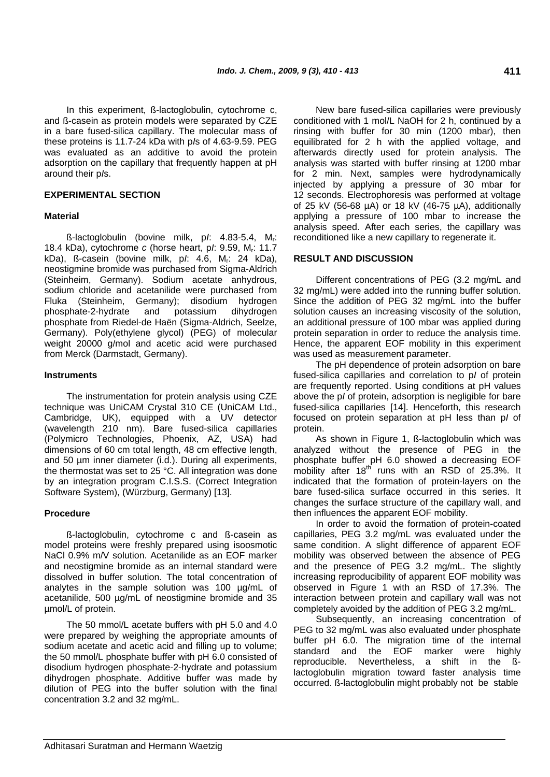In this experiment, ß-lactoglobulin, cytochrome c, and ß-casein as protein models were separated by CZE in a bare fused-silica capillary. The molecular mass of these proteins is 11.7-24 kDa with p*I*s of 4.63-9.59. PEG was evaluated as an additive to avoid the protein adsorption on the capillary that frequently happen at pH around their p*I*s.

### **EXPERIMENTAL SECTION**

### **Material**

ß-lactoglobulin (bovine milk, p*I*: 4.83-5.4, Mr: 18.4 kDa), cytochrome *c* (horse heart, p*I*: 9.59, Mr: 11.7 kDa), ß-casein (bovine milk, p*I*: 4.6, Mr: 24 kDa), neostigmine bromide was purchased from Sigma-Aldrich (Steinheim, Germany). Sodium acetate anhydrous, sodium chloride and acetanilide were purchased from Fluka (Steinheim, Germany); disodium hydrogen phosphate-2-hydrate and potassium dihydrogen phosphate from Riedel-de Haën (Sigma-Aldrich, Seelze, Germany). Poly(ethylene glycol) (PEG) of molecular weight 20000 g/mol and acetic acid were purchased from Merck (Darmstadt, Germany).

### **Instruments**

The instrumentation for protein analysis using CZE technique was UniCAM Crystal 310 CE (UniCAM Ltd., Cambridge, UK), equipped with a UV detector (wavelength 210 nm). Bare fused-silica capillaries (Polymicro Technologies, Phoenix, AZ, USA) had dimensions of 60 cm total length, 48 cm effective length, and 50 µm inner diameter (i.d.). During all experiments, the thermostat was set to 25 °C. All integration was done by an integration program C.I.S.S. (Correct Integration Software System), (Würzburg, Germany) [13].

### **Procedure**

ß-lactoglobulin, cytochrome c and ß-casein as model proteins were freshly prepared using isoosmotic NaCl 0.9% m/V solution. Acetanilide as an EOF marker and neostigmine bromide as an internal standard were dissolved in buffer solution. The total concentration of analytes in the sample solution was 100 µg/mL of acetanilide, 500 µg/mL of neostigmine bromide and 35 µmol/L of protein.

The 50 mmol/L acetate buffers with pH 5.0 and 4.0 were prepared by weighing the appropriate amounts of sodium acetate and acetic acid and filling up to volume; the 50 mmol/L phosphate buffer with pH 6.0 consisted of disodium hydrogen phosphate-2-hydrate and potassium dihydrogen phosphate. Additive buffer was made by dilution of PEG into the buffer solution with the final concentration 3.2 and 32 mg/mL.

New bare fused-silica capillaries were previously conditioned with 1 mol/L NaOH for 2 h, continued by a rinsing with buffer for 30 min (1200 mbar), then equilibrated for 2 h with the applied voltage, and afterwards directly used for protein analysis. The analysis was started with buffer rinsing at 1200 mbar for 2 min. Next, samples were hydrodynamically injected by applying a pressure of 30 mbar for 12 seconds. Electrophoresis was performed at voltage of 25 kV (56-68 µA) or 18 kV (46-75 µA), additionally applying a pressure of 100 mbar to increase the analysis speed. After each series, the capillary was reconditioned like a new capillary to regenerate it.

### **RESULT AND DISCUSSION**

Different concentrations of PEG (3.2 mg/mL and 32 mg/mL) were added into the running buffer solution. Since the addition of PEG 32 mg/mL into the buffer solution causes an increasing viscosity of the solution, an additional pressure of 100 mbar was applied during protein separation in order to reduce the analysis time. Hence, the apparent EOF mobility in this experiment was used as measurement parameter.

The pH dependence of protein adsorption on bare fused-silica capillaries and correlation to p*I* of protein are frequently reported. Using conditions at pH values above the p*I* of protein, adsorption is negligible for bare fused-silica capillaries [14]. Henceforth, this research focused on protein separation at pH less than p*I* of protein.

As shown in Figure 1, ß-lactoglobulin which was analyzed without the presence of PEG in the phosphate buffer pH 6.0 showed a decreasing EOF mobility after  $18^{th}$  runs with an RSD of 25.3%. It indicated that the formation of protein-layers on the bare fused-silica surface occurred in this series. It changes the surface structure of the capillary wall, and then influences the apparent EOF mobility.

In order to avoid the formation of protein-coated capillaries, PEG 3.2 mg/mL was evaluated under the same condition. A slight difference of apparent EOF mobility was observed between the absence of PEG and the presence of PEG 3.2 mg/mL. The slightly increasing reproducibility of apparent EOF mobility was observed in Figure 1 with an RSD of 17.3%. The interaction between protein and capillary wall was not completely avoided by the addition of PEG 3.2 mg/mL.

Subsequently, an increasing concentration of PEG to 32 mg/mL was also evaluated under phosphate buffer pH 6.0. The migration time of the internal standard and the EOF marker were highly reproducible. Nevertheless, a shift in the ßlactoglobulin migration toward faster analysis time occurred. ß-lactoglobulin might probably not be stable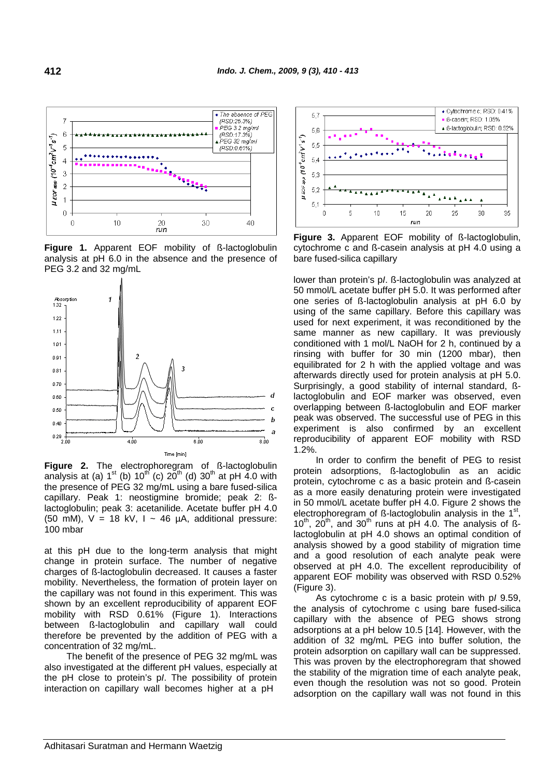

**Figure 1.** Apparent EOF mobility of ß-lactoglobulin analysis at pH 6.0 in the absence and the presence of PEG 3.2 and 32 mg/mL



**Figure 2.** The electrophoregram of ß-lactoglobulin analysis at (a)  $1^{st}$  (b)  $10^{th}$  (c)  $20^{th}$  (d)  $30^{th}$  at pH 4.0 with the presence of PEG 32 mg/mL using a bare fused-silica capillary. Peak 1: neostigmine bromide; peak 2: ßlactoglobulin; peak 3: acetanilide. Acetate buffer pH 4.0 (50 mM),  $V = 18$  kV,  $I \sim 46$  µA, additional pressure: 100 mbar

at this pH due to the long-term analysis that might change in protein surface. The number of negative charges of ß-lactoglobulin decreased. It causes a faster mobility. Nevertheless, the formation of protein layer on the capillary was not found in this experiment. This was shown by an excellent reproducibility of apparent EOF mobility with RSD 0.61% (Figure 1). Interactions between ß-lactoglobulin and capillary wall could therefore be prevented by the addition of PEG with a concentration of 32 mg/mL.

The benefit of the presence of PEG 32 mg/mL was also investigated at the different pH values, especially at the pH close to protein's p*I*. The possibility of protein interaction on capillary wall becomes higher at a pH



**Figure 3.** Apparent EOF mobility of ß-lactoglobulin, cytochrome c and ß-casein analysis at pH 4.0 using a bare fused-silica capillary

lower than protein's p*I*. ß-lactoglobulin was analyzed at 50 mmol/L acetate buffer pH 5.0. It was performed after one series of ß-lactoglobulin analysis at pH 6.0 by using of the same capillary. Before this capillary was used for next experiment, it was reconditioned by the same manner as new capillary. It was previously conditioned with 1 mol/L NaOH for 2 h, continued by a rinsing with buffer for 30 min (1200 mbar), then equilibrated for 2 h with the applied voltage and was afterwards directly used for protein analysis at pH 5.0. Surprisingly, a good stability of internal standard, ßlactoglobulin and EOF marker was observed, even overlapping between ß-lactoglobulin and EOF marker peak was observed. The successful use of PEG in this experiment is also confirmed by an excellent reproducibility of apparent EOF mobility with RSD 1.2%.

In order to confirm the benefit of PEG to resist protein adsorptions, ß-lactoglobulin as an acidic protein, cytochrome c as a basic protein and ß-casein as a more easily denaturing protein were investigated in 50 mmol/L acetate buffer pH 4.0. Figure 2 shows the electrophoregram of  $\beta$ -lactoglobulin analysis in the 1<sup>st</sup>,  $10^{th}$ ,  $20^{th}$ , and  $30^{th}$  runs at pH 4.0. The analysis of ßlactoglobulin at pH 4.0 shows an optimal condition of analysis showed by a good stability of migration time and a good resolution of each analyte peak were observed at pH 4.0. The excellent reproducibility of apparent EOF mobility was observed with RSD 0.52% (Figure 3).

As cytochrome c is a basic protein with p*I* 9.59, the analysis of cytochrome c using bare fused-silica capillary with the absence of PEG shows strong adsorptions at a pH below 10.5 [14]. However, with the addition of 32 mg/mL PEG into buffer solution, the protein adsorption on capillary wall can be suppressed. This was proven by the electrophoregram that showed the stability of the migration time of each analyte peak, even though the resolution was not so good. Protein adsorption on the capillary wall was not found in this